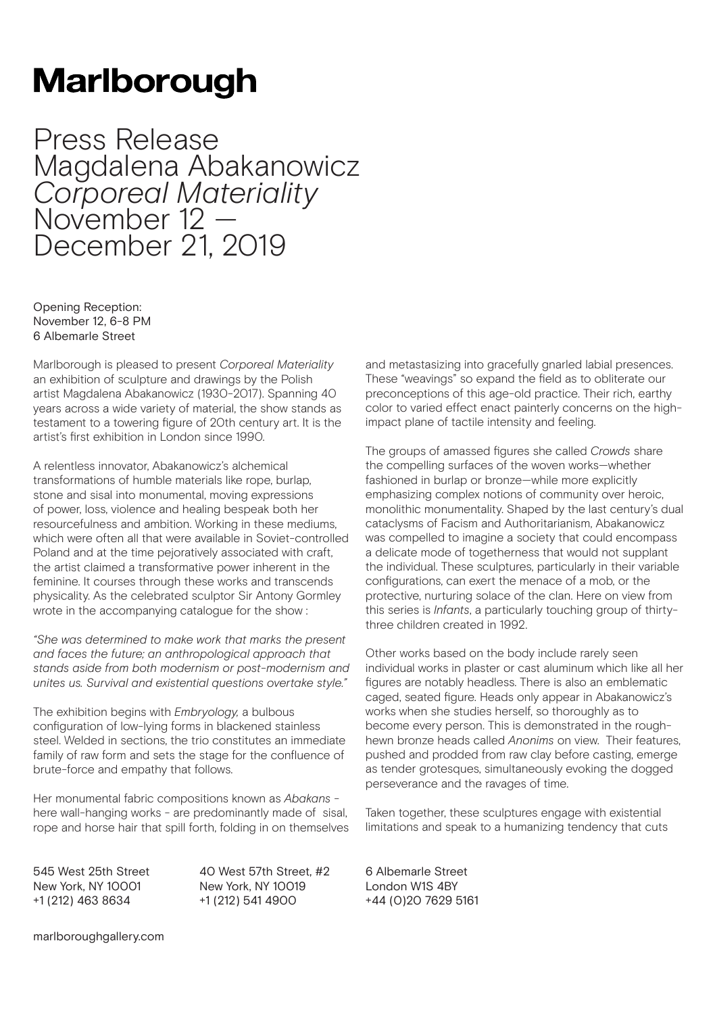## **Marlborough**

Press Release Magdalena Abakanowicz *Corporeal Materiality*  November 12 – December 21, 2019

Opening Reception: November 12, 6-8 PM 6 Albemarle Street

Marlborough is pleased to present *Corporeal Materiality*  an exhibition of sculpture and drawings by the Polish artist Magdalena Abakanowicz (1930-2017). Spanning 40 years across a wide variety of material, the show stands as testament to a towering figure of 20th century art. It is the artist's first exhibition in London since 1990.

A relentless innovator, Abakanowicz's alchemical transformations of humble materials like rope, burlap, stone and sisal into monumental, moving expressions of power, loss, violence and healing bespeak both her resourcefulness and ambition. Working in these mediums, which were often all that were available in Soviet-controlled Poland and at the time pejoratively associated with craft, the artist claimed a transformative power inherent in the feminine. It courses through these works and transcends physicality. As the celebrated sculptor Sir Antony Gormley wrote in the accompanying catalogue for the show :

*"She was determined to make work that marks the present and faces the future; an anthropological approach that stands aside from both modernism or post-modernism and unites us. Survival and existential questions overtake style."* 

The exhibition begins with *Embryology,* a bulbous configuration of low-lying forms in blackened stainless steel. Welded in sections, the trio constitutes an immediate family of raw form and sets the stage for the confluence of brute-force and empathy that follows.

Her monumental fabric compositions known as *Abakans*  here wall-hanging works - are predominantly made of sisal, rope and horse hair that spill forth, folding in on themselves

545 West 25th Street New York, NY 10001 +1 (212) 463 8634

40 West 57th Street, #2 New York, NY 10019 +1 (212) 541 4900

and metastasizing into gracefully gnarled labial presences. These "weavings" so expand the field as to obliterate our preconceptions of this age-old practice. Their rich, earthy color to varied effect enact painterly concerns on the highimpact plane of tactile intensity and feeling.

The groups of amassed figures she called *Crowds* share the compelling surfaces of the woven works—whether fashioned in burlap or bronze—while more explicitly emphasizing complex notions of community over heroic, monolithic monumentality. Shaped by the last century's dual cataclysms of Facism and Authoritarianism, Abakanowicz was compelled to imagine a society that could encompass a delicate mode of togetherness that would not supplant the individual. These sculptures, particularly in their variable configurations, can exert the menace of a mob, or the protective, nurturing solace of the clan. Here on view from this series is *Infants*, a particularly touching group of thirtythree children created in 1992.

Other works based on the body include rarely seen individual works in plaster or cast aluminum which like all her figures are notably headless. There is also an emblematic caged, seated figure. Heads only appear in Abakanowicz's works when she studies herself, so thoroughly as to become every person. This is demonstrated in the roughhewn bronze heads called *Anonims* on view. Their features, pushed and prodded from raw clay before casting, emerge as tender grotesques, simultaneously evoking the dogged perseverance and the ravages of time.

Taken together, these sculptures engage with existential limitations and speak to a humanizing tendency that cuts

6 Albemarle Street London W1S 4BY +44 (0)20 7629 5161

marlboroughgallery.com